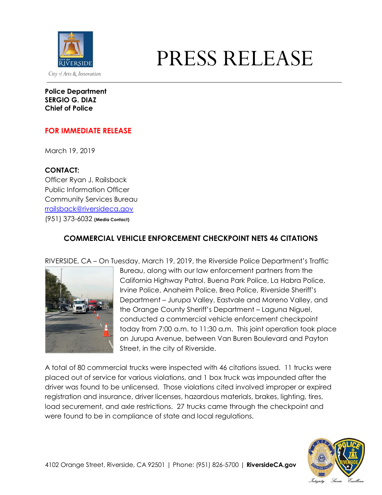

## PRESS RELEASE

**Police Department SERGIO G. DIAZ Chief of Police**

## **FOR IMMEDIATE RELEASE**

March 19, 2019

## **CONTACT:**

Officer Ryan J. Railsback Public Information Officer Community Services Bureau [rrailsback@riversideca.gov](mailto:rrailsback@riversideca.gov) (951) 373-6032 **(Media Contact)**

## **COMMERCIAL VEHICLE ENFORCEMENT CHECKPOINT NETS 46 CITATIONS**

RIVERSIDE, CA – On Tuesday, March 19, 2019, the Riverside Police Department's Traffic



Bureau, along with our law enforcement partners from the California Highway Patrol, Buena Park Police, La Habra Police, Irvine Police, Anaheim Police, Brea Police, Riverside Sheriff's Department – Jurupa Valley, Eastvale and Moreno Valley, and the Orange County Sheriff's Department – Laguna Niguel, conducted a commercial vehicle enforcement checkpoint today from 7:00 a.m. to 11:30 a.m. This joint operation took place on Jurupa Avenue, between Van Buren Boulevard and Payton Street, in the city of Riverside.

A total of 80 commercial trucks were inspected with 46 citations issued. 11 trucks were placed out of service for various violations, and 1 box truck was impounded after the driver was found to be unlicensed. Those violations cited involved improper or expired registration and insurance, driver licenses, hazardous materials, brakes, lighting, tires, load securement, and axle restrictions. 27 trucks came through the checkpoint and were found to be in compliance of state and local regulations.